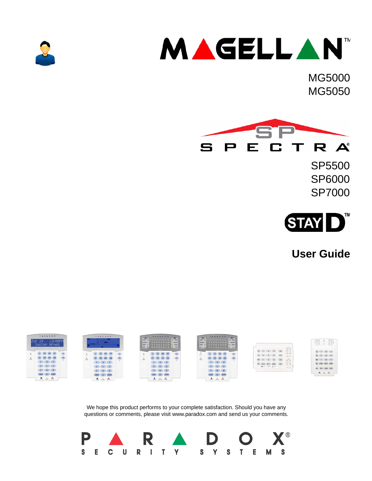



MG5000 MG5050



SP5500 SP6000 SP7000



**User Guide**



We hope this product performs to your complete satisfaction. Should you have any questions or comments, please visit www.paradox.com and send us your comments.

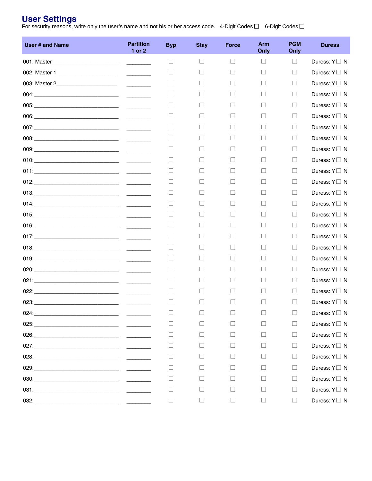### **User Settings**

For security reasons, write only the user's name and not his or her access code.  $\,$  4-Digit Codes  $\Box$   $\,$  6-Digit Codes  $\Box$ 

| <b>User # and Name</b> | <b>Partition</b><br>1 or 2 | <b>Byp</b> | <b>Stay</b> | <b>Force</b> | <b>Arm</b><br>Only | <b>PGM</b><br>Only | <b>Duress</b>         |
|------------------------|----------------------------|------------|-------------|--------------|--------------------|--------------------|-----------------------|
|                        |                            | $\Box$     | $\Box$      | $\Box$       | $\Box$             | $\Box$             | Duress: $Y \square N$ |
|                        |                            | ⊔          | $\Box$      | $\Box$       | $\Box$             | П                  | Duress: $Y \square N$ |
|                        |                            | ⊔          | $\Box$      | $\Box$       | $\Box$             | П                  | Duress: $Y \square N$ |
|                        |                            | $\Box$     | П           | $\Box$       | П                  | П.                 | Duress: $Y \square N$ |
|                        |                            | $\Box$     | $\Box$      | $\Box$       | П                  | П                  | Duress: $Y \square N$ |
|                        |                            | $\Box$     | $\Box$      | $\Box$       | П                  | П                  | Duress: $Y \square N$ |
|                        |                            | $\Box$     | $\Box$      | $\Box$       | $\Box$             | П                  | Duress: $Y \square N$ |
|                        |                            | $\Box$     | $\Box$      | $\Box$       | П                  | П                  | Duress: $Y \square N$ |
|                        |                            | $\Box$     | $\Box$      | $\Box$       | П                  | П                  | Duress: $Y \square N$ |
|                        |                            | $\Box$     | П           | $\Box$       | $\Box$             | П                  | Duress: $Y \square N$ |
|                        |                            | $\Box$     | $\Box$      | $\Box$       | П                  | П                  | Duress: $Y \square N$ |
|                        |                            | $\Box$     | $\Box$      | $\Box$       | П                  | П                  | Duress: $Y \square N$ |
|                        |                            | $\Box$     | П           | $\Box$       | $\Box$             | П                  | Duress: $Y \square N$ |
|                        |                            | $\Box$     | $\perp$     | $\Box$       | П                  | П                  | Duress: $Y \square N$ |
|                        |                            | $\Box$     | П           | $\Box$       | П                  | П                  | Duress: $Y \square N$ |
|                        |                            | $\Box$     | П           | $\Box$       | $\Box$             | П                  | Duress: $Y \square N$ |
|                        |                            | $\Box$     | П           | $\Box$       | П                  | П                  | Duress: $Y \square N$ |
|                        |                            | $\Box$     | $\Box$      | $\Box$       | П                  | П                  | Duress: $Y \square N$ |
|                        |                            | $\Box$     | $\Box$      | $\Box$       | $\Box$             | П                  | Duress: $Y \square N$ |
|                        |                            | $\Box$     | $\Box$      | $\Box$       | $\Box$             | П                  | Duress: $Y \square N$ |
|                        |                            | $\Box$     | $\Box$      | $\Box$       | П                  | П                  | Duress: $Y \square N$ |
|                        |                            | $\Box$     | $\Box$      | $\Box$       | $\Box$             | П                  | Duress: $Y \square N$ |
|                        |                            | П          | П           | $\Box$       | П                  | П                  | Duress: $Y \square N$ |
|                        |                            | $\Box$     | $\Box$      | $\Box$       | $\Box$             | $\Box$             | Duress: $Y \square N$ |
|                        |                            | $\Box$     | $\Box$      | $\Box$       | $\Box$             | П                  | Duress: $Y \square N$ |
|                        |                            | $\Box$     | $\Box$      | $\Box$       | $\Box$             | П.                 | Duress: $Y \square N$ |
|                        |                            | $\Box$     | $\Box$      | $\Box$       | $\Box$             | П.                 | Duress: $Y \square N$ |
|                        |                            | $\Box$     | $\Box$      | $\Box$       | $\Box$             | П.                 | Duress: $Y \square N$ |
|                        |                            | $\Box$     | П           | $\Box$       | П.                 | П                  | Duress: $Y \square N$ |
|                        |                            | $\Box$     | П           | $\Box$       | $\Box$             | П                  | Duress: $Y \square N$ |
|                        |                            | $\Box$     | $\Box$      | $\Box$       | $\Box$             | П                  | Duress: $Y \square N$ |
|                        |                            | $\Box$     | $\Box$      | $\Box$       | $\Box$             | $\Box$             | Duress: $Y \square N$ |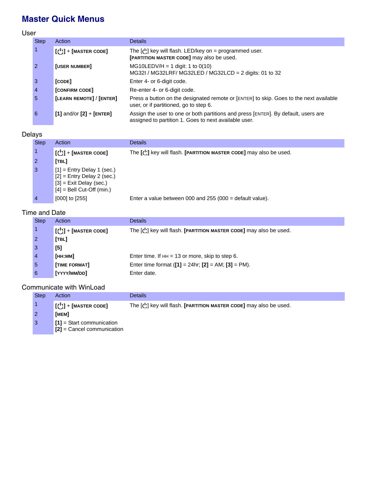# **Master Quick Menus**

User

| <b>Step</b>           | Action                                                                                      | <b>Details</b>                                                                                                                              |
|-----------------------|---------------------------------------------------------------------------------------------|---------------------------------------------------------------------------------------------------------------------------------------------|
|                       | $\left[\begin{smallmatrix}\begin{smallmatrix}\cdot\end{smallmatrix}\right]$ + [MASTER CODE] | The $[\bigcup]$ key will flash. LED/key on = programmed user.<br>[PARTITION MASTER CODE] may also be used.                                  |
| $\mathbf{2}^{\prime}$ | <b>[USER NUMBER]</b>                                                                        | $MG10LEDV/H = 1$ digit: 1 to 0(10)<br>MG32I / MG32LRF/ MG32LED / MG32LCD = 2 digits: 01 to 32                                               |
| 3                     | [CODE]                                                                                      | Enter 4- or 6-digit code.                                                                                                                   |
| 4                     | [CONFIRM CODE]                                                                              | Re-enter 4- or 6-digit code.                                                                                                                |
| 5                     | [LEARN REMOTE] / [ENTER]                                                                    | Press a button on the designated remote or [ENTER] to skip. Goes to the next available<br>user, or if partitioned, go to step 6.            |
| 6                     | $[1]$ and/or $[2]$ + $[ENTER]$                                                              | Assign the user to one or both partitions and press [ENTER]. By default, users are<br>assigned to partition 1. Goes to next available user. |

### Delays

| <b>Step</b> | Action                                                                                                                   | <b>Details</b>                                                            |
|-------------|--------------------------------------------------------------------------------------------------------------------------|---------------------------------------------------------------------------|
|             | $\left[\begin{array}{c} 1 \end{array}\right]$ + [MASTER CODE]                                                            | The $[\bigcup]$ key will flash. [PARTITION MASTER CODE] may also be used. |
|             | [TBL]                                                                                                                    |                                                                           |
| -3          | $[1]$ = Entry Delay 1 (sec.)<br>$[2]$ = Entry Delay 2 (sec.)<br>$[3]$ = Exit Delay (sec.)<br>$[4]$ = Bell Cut-Off (min.) |                                                                           |
|             | $[000]$ to $[255]$                                                                                                       | Enter a value between 000 and 255 (000 = default value).                  |

### Time and Date

| <b>Step</b> | Action                                                                               | <b>Details</b>                                                            |
|-------------|--------------------------------------------------------------------------------------|---------------------------------------------------------------------------|
|             | $\begin{bmatrix} \begin{pmatrix} 1 \\ 2 \end{pmatrix} \end{bmatrix}$ + [MASTER CODE] | The $[\bigcup]$ key will flash. [PARTITION MASTER CODE] may also be used. |
|             | [TBL]                                                                                |                                                                           |
| 3           | [5]                                                                                  |                                                                           |
|             | [нн:мм]                                                                              | Enter time. If $HH = 13$ or more, skip to step 6.                         |
| -5          | [TIME FORMAT]                                                                        | Enter time format $([1] = 24$ hr; $[2] = AM$ ; $[3] = PM$ ).              |
| 6           | [YYYY/MM/DD]                                                                         | Enter date.                                                               |

### Communicate with WinLoad

| <b>Step</b>    | Action                                                      | <b>Details</b>                                                                               |  |  |
|----------------|-------------------------------------------------------------|----------------------------------------------------------------------------------------------|--|--|
|                | $[(')] + [MASTER CODE]$                                     | The $\lbrack \cdot \rbrack$ key will flash. <b>[PARTITION MASTER CODE]</b> may also be used. |  |  |
|                | [мем]                                                       |                                                                                              |  |  |
| $\overline{3}$ | $[1]$ = Start communication<br>$[2]$ = Cancel communication |                                                                                              |  |  |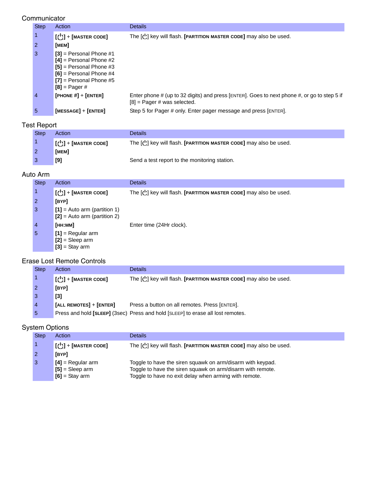#### **Communicator**

| <b>Step</b> | Action                                                                                                                                                           | <b>Details</b>                                                                                                               |
|-------------|------------------------------------------------------------------------------------------------------------------------------------------------------------------|------------------------------------------------------------------------------------------------------------------------------|
|             | $\left[\begin{smallmatrix}\begin{smallmatrix}\cdot\end{smallmatrix}\right]$ + [MASTER CODE]                                                                      | The $[\bigcup]$ key will flash. [PARTITION MASTER CODE] may also be used.                                                    |
| 2           | [мем]                                                                                                                                                            |                                                                                                                              |
| 3           | $[3]$ = Personal Phone #1<br>$[4]$ = Personal Phone #2<br>$[5]$ = Personal Phone #3<br>$[6]$ = Personal Phone #4<br>$[7]$ = Personal Phone #5<br>$[8]$ = Pager # |                                                                                                                              |
| 4           | [PHONE $#$ ] + [ENTER]                                                                                                                                           | Enter phone # (up to 32 digits) and press [ENTER]. Goes to next phone #, or go to step 5 if<br>$[8]$ = Pager # was selected. |
| 5           | $[MESSAGE] + [ENTER]$                                                                                                                                            | Step 5 for Pager # only. Enter pager message and press [ENTER].                                                              |

### Test Report

| <b>Step</b> | Action                                                                                                       | Details                                                                   |
|-------------|--------------------------------------------------------------------------------------------------------------|---------------------------------------------------------------------------|
|             | $\left[\begin{smallmatrix}\begin{smallmatrix}\cdot\end{smallmatrix}\end{smallmatrix}\right]$ + [MASTER CODE] | The $[\bigcup]$ key will flash. [PARTITION MASTER CODE] may also be used. |
|             | [MEM]                                                                                                        |                                                                           |
|             | [9]                                                                                                          | Send a test report to the monitoring station.                             |

### Auto Arm

| <b>Step</b> | Action                                                                               | <b>Details</b>                                                            |
|-------------|--------------------------------------------------------------------------------------|---------------------------------------------------------------------------|
|             | $\begin{bmatrix} \begin{pmatrix} 1 \\ 2 \end{pmatrix} \end{bmatrix}$ + [MASTER CODE] | The $[\bigcup]$ key will flash. [PARTITION MASTER CODE] may also be used. |
| 2           | [BYP]                                                                                |                                                                           |
| 3           | $[1]$ = Auto arm (partition 1)<br>$[2]$ = Auto arm (partition 2)                     |                                                                           |
| 4           | [нн:мм]                                                                              | Enter time (24Hr clock).                                                  |
| 5           | $[1]$ = Regular arm<br>$[2]$ = Sleep arm<br>$[3]$ = Stay arm                         |                                                                           |

### Erase Lost Remote Controls

| <b>Step</b>    | Action                      | <b>Details</b>                                                                  |
|----------------|-----------------------------|---------------------------------------------------------------------------------|
|                | $[\bigcup]$ + [MASTER CODE] | The $[\bigcup]$ key will flash. [PARTITION MASTER CODE] may also be used.       |
| $\overline{2}$ | [BYP]                       |                                                                                 |
| -3             | $[3]$                       |                                                                                 |
| $\overline{4}$ | [ALL REMOTES] + [ENTER]     | Press a button on all remotes. Press [ENTER].                                   |
| -5             |                             | Press and hold [SLEEP] (3sec) Press and hold [SLEEP] to erase all lost remotes. |

### System Options

| <b>Step</b> | Action                                                       | <b>Details</b>                                                                                                                                                                    |
|-------------|--------------------------------------------------------------|-----------------------------------------------------------------------------------------------------------------------------------------------------------------------------------|
|             | $\lfloor$ ( $\bigcup$ ) + [MASTER CODE]                      | The $[\bigcup]$ key will flash. [PARTITION MASTER CODE] may also be used.                                                                                                         |
|             | [BYP]                                                        |                                                                                                                                                                                   |
|             | $[4]$ = Regular arm<br>$[5]$ = Sleep arm<br>$[6]$ = Stay arm | Toggle to have the siren squawk on arm/disarm with keypad.<br>Toggle to have the siren squawk on arm/disarm with remote.<br>Toggle to have no exit delay when arming with remote. |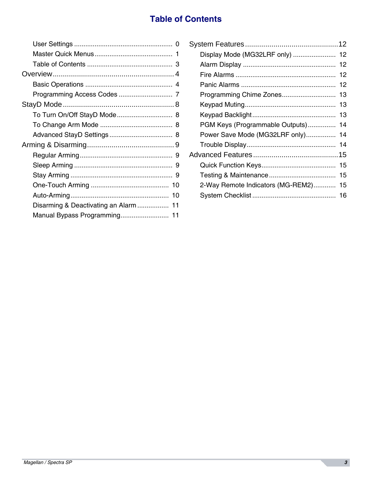# **Table of Contents**

| Disarming & Deactivating an Alarm  11 |
|---------------------------------------|
|                                       |
|                                       |

| Display Mode (MG32LRF only)       | 12 |
|-----------------------------------|----|
|                                   | 12 |
|                                   | 12 |
|                                   | 12 |
| Programming Chime Zones           | 13 |
|                                   | 13 |
|                                   | 13 |
| PGM Keys (Programmable Outputs)   | 14 |
| Power Save Mode (MG32LRF only)    | 14 |
|                                   |    |
|                                   |    |
|                                   |    |
|                                   | 15 |
| 2-Way Remote Indicators (MG-REM2) | 15 |
|                                   | 16 |
|                                   |    |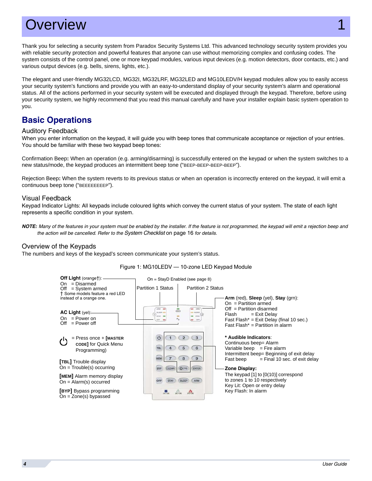# Overview 1999 and 1999 and 1999 and 1999 and 1999 and 1999 and 1999 and 1999 and 1999 and 1999 and 1999 and 19

Thank you for selecting a security system from Paradox Security Systems Ltd. This advanced technology security system provides you with reliable security protection and powerful features that anyone can use without memorizing complex and confusing codes. The system consists of the control panel, one or more keypad modules, various input devices (e.g. motion detectors, door contacts, etc.) and various output devices (e.g. bells, sirens, lights, etc.).

The elegant and user-friendly MG32LCD, MG32I, MG32LRF, MG32LED and MG10LEDV/H keypad modules allow you to easily access your security system's functions and provide you with an easy-to-understand display of your security system's alarm and operational status. All of the actions performed in your security system will be executed and displayed through the keypad. Therefore, before using your security system, we highly recommend that you read this manual carefully and have your installer explain basic system operation to you.

## **Basic Operations**

#### Auditory Feedback

When you enter information on the keypad, it will guide you with beep tones that communicate acceptance or rejection of your entries. You should be familiar with these two keypad beep tones:

Confirmation Beep**:** When an operation (e.g. arming/disarming) is successfully entered on the keypad or when the system switches to a new status/mode, the keypad produces an intermittent beep tone ("BEEP-BEEP-BEEP-BEEP").

Rejection Beep**:** When the system reverts to its previous status or when an operation is incorrectly entered on the keypad, it will emit a continuous beep tone ("BEEEEEEEEP").

#### Visual Feedback

Keypad Indicator Lights: All keypads include coloured lights which convey the current status of your system. The state of each light represents a specific condition in your system.

*NOTE: Many of the features in your system must be enabled by the installer. If the feature is not programmed, the keypad will emit a rejection beep and the action will be cancelled. Refer to the [System Checklist](#page-17-0)* on page 16 *for details.*

#### Overview of the Keypads

The numbers and keys of the keypad's screen communicate your system's status.



#### Figure 1: MG10LEDV — 10-zone LED Keypad Module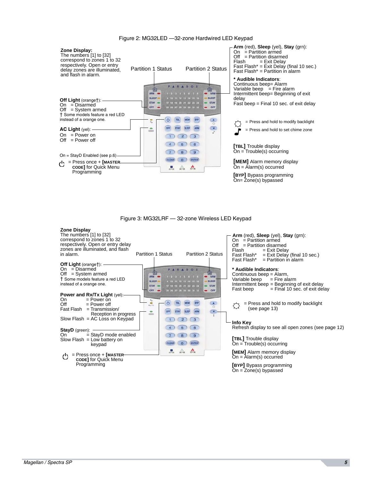

Figure 2: MG32LED —32-zone Hardwired LED Keypad

Figure 3: MG32LRF — 32-zone Wireless LED Keypad

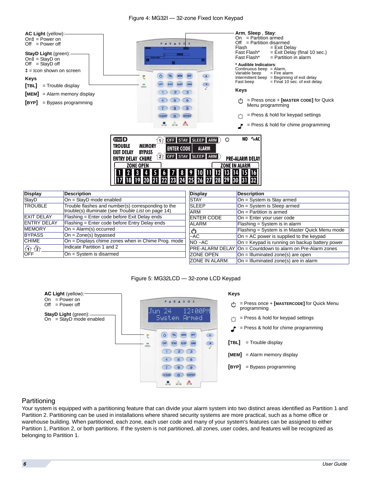

| <b>Display</b>        | <b>Description</b>                                                                                        | Display              | <b>Description</b>                                                 |
|-----------------------|-----------------------------------------------------------------------------------------------------------|----------------------|--------------------------------------------------------------------|
| StayD                 | $On = StayD mode enabled$                                                                                 | <b>STAY</b>          | On = System is Stay armed                                          |
| <b>TROUBLE</b>        | Trouble flashes and number(s) corresponding to the<br>trouble(s) illuminate (see Trouble List on page 14) | <b>SLEEP</b>         | $On = System$ is Sleep armed                                       |
|                       |                                                                                                           | <b>ARM</b>           | $On = Partition$ is armed                                          |
| <b>EXIT DELAY</b>     | Flashing = Enter code before Exit Delay ends                                                              | <b>ENTER CODE</b>    | $On = Enter your user code$                                        |
| <b>ENTRY DELAY</b>    | Flashing = Enter code before Entry Delay ends                                                             | <b>ALARM</b>         | Flashing = System is in alarm                                      |
| <b>MEMORY</b>         | $On = Alarm(s) occurred$                                                                                  |                      | Flashing = System is in Master Quick Menu mode                     |
| <b>BYPASS</b>         | $On = Zone(s)$ bypassed                                                                                   | $A$ C                | $On = AC$ power is supplied to the keypad                          |
| <b>CHIME</b>          | On = Displays chime zones when in Chime Prog. mode                                                        | $NO - AC$            | On = Keypad is running on backup battery power                     |
| $\frac{1}{\sqrt{12}}$ | Indicate Partition 1 and 2                                                                                |                      | <b>IPRE-ALARM DELAY On = Countdown to alarm on Pre-Alarm zones</b> |
|                       | $On = System$ is disarmed                                                                                 | <b>ZONE OPEN</b>     | $On = Illuminated zone(s)$ are open                                |
|                       |                                                                                                           | <b>ZONE IN ALARM</b> | $On = Illuminated zone(s)$ are in alarm                            |

Figure 5: MG32LCD — 32-zone LCD Keypad



#### <span id="page-7-0"></span>**Partitioning**

Your system is equipped with a partitioning feature that can divide your alarm system into two distinct areas identified as Partition 1 and Partition 2. Partitioning can be used in installations where shared security systems are more practical, such as a home office or warehouse building. When partitioned, each zone, each user code and many of your system's features can be assigned to either Partition 1, Partition 2, or both partitions. If the system is not partitioned, all zones, user codes, and features will be recognized as belonging to Partition 1.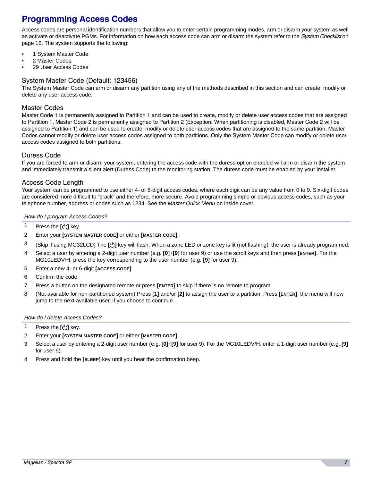# **Programming Access Codes**

Access codes are personal identification numbers that allow you to enter certain programming modes, arm or disarm your system as well as activate or deactivate PGMs. For information on how each access code can arm or disarm the system refer to the *[System Checklist](#page-17-0)* on [page 16](#page-17-0). The system supports the following:

- 1 System Master Code
- 2 Master Codes
- 29 User Access Codes

#### System Master Code (Default: 123456)

The System Master Code can arm or disarm any partition using any of the methods described in this section and can create, modify or delete any user access code.

#### Master Codes

Master Code 1 is permanently assigned to Partition 1 and can be used to create, modify or delete user access codes that are assigned to Partition 1. Master Code 2 is permanently assigned to Partition 2 (Exception: When partitioning is disabled, Master Code 2 will be assigned to Partition 1) and can be used to create, modify or delete user access codes that are assigned to the same partition. Master Codes cannot modify or delete user access codes assigned to both partitions. Only the System Master Code can modify or delete user access codes assigned to both partitions.

#### Duress Code

If you are forced to arm or disarm your system, entering the access code with the duress option enabled will arm or disarm the system and immediately transmit a silent alert (Duress Code) to the monitoring station. The duress code must be enabled by your installer.

#### Access Code Length

Your system can be programmed to use either 4- or 6-digit access codes, where each digit can be any value from 0 to 9. Six-digit codes are considered more difficult to "crack" and therefore, more secure. Avoid programming simple or obvious access codes, such as your telephone number, address or codes such as 1234. See the *Master Quick Menu* on inside cover.

#### *How do I program Access Codes?*

- <sup>1</sup> Press the  $\left[\begin{smallmatrix}1\\1\end{smallmatrix}\right]$  key.
- 2 Enter your **[SYSTEM MASTER CODE]** or either **[MASTER CODE]**.
- 3 (Skip if using MG32LCD) The [U] key will flash. When a zone LED or zone key is lit (not flashing), the user is already programmed.
- 4 Select a user by entering a 2-digit user number (e.g. **[0]**+**[9]** for user 9) or use the scroll keys and then press **[ENTER]**. For the MG10LEDV/H, press the key corresponding to the user number (e.g. **[9]** for user 9).
- 5 Enter a new 4- or 6-digit **[ACCESS CODE]**.
- 6 Confirm the code.
- 7 Press a button on the designated remote or press **[ENTER]** to skip if there is no remote to program.
- 8 (Not available for non-partitioned system) Press **[1]** and/or **[2]** to assign the user to a partition. Press **[ENTER]**, the menu will now jump to the next available user, if you choose to continue.

#### *How do I delete Access Codes?*

- 1 Press the  $\left[\begin{smallmatrix}1\\1\end{smallmatrix}\right]$  key.
- 2 Enter your **[SYSTEM MASTER CODE]** or either **[MASTER CODE]**.
- 3 Select a user by entering a 2-digit user number (e.g. **[0]**+**[9]** for user 9). For the MG10LEDV/H, enter a 1-digit user number (e.g. **[9]**  for user 9).
- 4 Press and hold the **[SLEEP]** key until you hear the confirmation beep.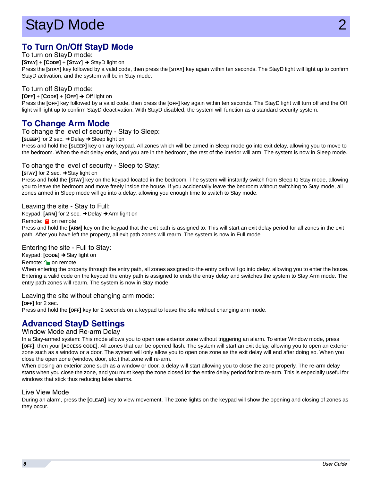# <span id="page-9-0"></span>StayD Mode

# **To Turn On/Off StayD Mode**

To turn on StayD mode:

**[STAY]** + **[CODE]** + **[STAY]**  StayD light on

Press the **[STAY]** key followed by a valid code, then press the **[STAY]** key again within ten seconds. The StayD light will light up to confirm StayD activation, and the system will be in Stay mode.

#### To turn off StayD mode:

**[OFF]** + **[CODE]** + **[OFF]** Off light on

Press the **[OFF]** key followed by a valid code, then press the **[OFF]** key again within ten seconds. The StayD light will turn off and the Off light will light up to confirm StayD deactivation. With StayD disabled, the system will function as a standard security system.

### **To Change Arm Mode**

To change the level of security - Stay to Sleep:

**[SLEEP]** for 2 sec.  $\rightarrow$  Delay  $\rightarrow$  Sleep light on

Press and hold the **[SLEEP]** key on any keypad. All zones which will be armed in Sleep mode go into exit delay, allowing you to move to the bedroom. When the exit delay ends, and you are in the bedroom, the rest of the interior will arm. The system is now in Sleep mode.

#### To change the level of security - Sleep to Stay:

**[STAY]** for 2 sec. **→ Stay light on** 

Press and hold the **[STAY]** key on the keypad located in the bedroom. The system will instantly switch from Sleep to Stay mode, allowing you to leave the bedroom and move freely inside the house. If you accidentally leave the bedroom without switching to Stay mode, all zones armed in Sleep mode will go into a delay, allowing you enough time to switch to Stay mode.

#### Leaving the site - Stay to Full:

Keypad: [ARM] for 2 sec. **→** Delay → Arm light on

Remote: **O** on remote

Press and hold the **[ARM]** key on the keypad that the exit path is assigned to. This will start an exit delay period for all zones in the exit path. After you have left the property, all exit path zones will rearm. The system is now in Full mode.

#### Entering the site - Full to Stay:

Keypad: **[CODE]** Stay light on

Remote: **1** on remote

When entering the property through the entry path, all zones assigned to the entry path will go into delay, allowing you to enter the house. Entering a valid code on the keypad the entry path is assigned to ends the entry delay and switches the system to Stay Arm mode. The entry path zones will rearm. The system is now in Stay mode.

Leaving the site without changing arm mode:

**[OFF]** for 2 sec. Press and hold the **[OFF]** key for 2 seconds on a keypad to leave the site without changing arm mode.

## **Advanced StayD Settings**

#### Window Mode and Re-arm Delay

In a Stay-armed system: This mode allows you to open one exterior zone without triggering an alarm. To enter Window mode, press **[OFF]**, then your **[ACCESS CODE]**. All zones that can be opened flash. The system will start an exit delay, allowing you to open an exterior zone such as a window or a door. The system will only allow you to open one zone as the exit delay will end after doing so. When you close the open zone (window, door, etc.) that zone will re-arm.

When closing an exterior zone such as a window or door, a delay will start allowing you to close the zone properly. The re-arm delay starts when you close the zone, and you must keep the zone closed for the entire delay period for it to re-arm. This is especially useful for windows that stick thus reducing false alarms.

#### Live View Mode

During an alarm, press the **[CLEAR]** key to view movement. The zone lights on the keypad will show the opening and closing of zones as they occur.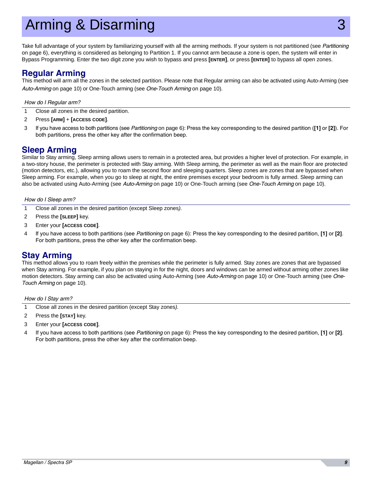# Arming & Disarming

Take full advantage of your system by familiarizing yourself with all the arming methods. If your system is not partitioned (see *[Partitioning](#page-7-0)*  [on page 6\)](#page-7-0), everything is considered as belonging to Partition 1. If you cannot arm because a zone is open, the system will enter in Bypass Programming. Enter the two digit zone you wish to bypass and press **[ENTER]**, or press **[ENTER]** to bypass all open zones.

### <span id="page-10-0"></span>**Regular Arming**

This method will arm all the zones in the selected partition. Please note that Regular arming can also be activated using Auto-Arming (see *[Auto-Arming](#page-11-0)* on page 10) or One-Touch arming (see *[One-Touch Arming](#page-11-1)* on page 10).

#### *How do I Regular arm?*

- 1 Close all zones in the desired partition.
- 2 Press **[ARM]** + **[ACCESS CODE]**.
- 3 If you have access to both partitions (see *[Partitioning](#page-7-0)* on page 6): Press the key corresponding to the desired partition (**[1]** or **[2]**)*.* For both partitions, press the other key after the confirmation beep.

### <span id="page-10-2"></span>**Sleep Arming**

Similar to Stay arming, Sleep arming allows users to remain in a protected area, but provides a higher level of protection. For example, in a two-story house, the perimeter is protected with Stay arming. With Sleep arming, the perimeter as well as the main floor are protected (motion detectors, etc.), allowing you to roam the second floor and sleeping quarters. Sleep zones are zones that are bypassed when Sleep arming. For example, when you go to sleep at night, the entire premises except your bedroom is fully armed. Sleep arming can also be activated using Auto-Arming (see *[Auto-Arming](#page-11-0)* on page 10) or One-Touch arming (see *[One-Touch Arming](#page-11-1)* on page 10).

#### *How do I Sleep arm?*

- 1 Close all zones in the desired partition (except Sleep zones*).*
- 2 Press the **[SLEEP]** key.
- 3 Enter your **[ACCESS CODE]**.
- 4 If you have access to both partitions (see *[Partitioning](#page-7-0)* on page 6): Press the key corresponding to the desired partition, **[1]** or **[2]***.* For both partitions, press the other key after the confirmation beep.

### <span id="page-10-1"></span>**Stay Arming**

This method allows you to roam freely within the premises while the perimeter is fully armed. Stay zones are zones that are bypassed when Stay arming. For example, if you plan on staying in for the night, doors and windows can be armed without arming other zones like motion detectors. Stay arming can also be activated using Auto-Arming (see *[Auto-Arming](#page-11-0)* on page 10) or One-Touch arming (see *[One-](#page-11-1)[Touch Arming](#page-11-1)* on page 10).

*How do I Stay arm?*

- 1 Close all zones in the desired partition (except Stay zones*).*
- 2 Press the **[STAY]** key.
- 3 Enter your **[ACCESS CODE]**.
- 4 If you have access to both partitions (see *[Partitioning](#page-7-0)* on page 6): Press the key corresponding to the desired partition, **[1]** or **[2]***.* For both partitions, press the other key after the confirmation beep.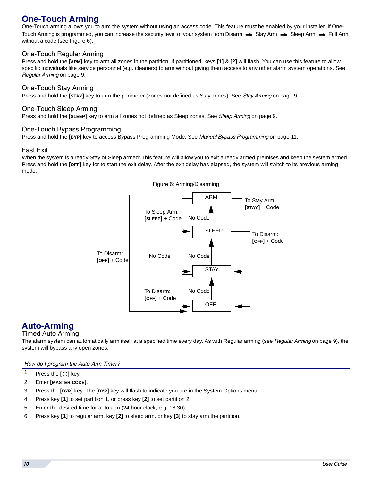# <span id="page-11-1"></span>**One-Touch Arming**

One-Touch arming allows you to arm the system without using an access code. This feature must be enabled by your installer. If One-Touch Arming is programmed, you can increase the security level of your system from Disarm  $\rightarrow$  Stay Arm  $\rightarrow$  Sleep Arm  $\rightarrow$  Full Arm without a code (see [Figure 6](#page-11-2)).

#### One-Touch Regular Arming

Press and hold the **[ARM]** key to arm all zones in the partition. If partitioned, keys **[1]** & **[2]** will flash. You can use this feature to allow specific individuals like service personnel (e.g. cleaners) to arm without giving them access to any other alarm system operations. See *[Regular Arming](#page-10-0)* on page 9.

#### One-Touch Stay Arming

Press and hold the **[STAY]** key to arm the perimeter (zones not defined as Stay zones). See *[Stay Arming](#page-10-1)* on page 9.

#### One-Touch Sleep Arming

Press and hold the **[SLEEP]** key to arm all zones not defined as Sleep zones. See *[Sleep Arming](#page-10-2)* on page 9.

#### One-Touch Bypass Programming

Press and hold the **[BYP]** key to access Bypass Programming Mode. See *[Manual Bypass Programming](#page-12-0)* on page 11.

#### Fast Exit

<span id="page-11-2"></span>When the system is already Stay or Sleep armed: This feature will allow you to exit already armed premises and keep the system armed. Press and hold the **[OFF]** key for to start the exit delay. After the exit delay has elapsed, the system will switch to its previous arming mode.



### <span id="page-11-0"></span>**Auto-Arming**

#### Timed Auto Arming

The alarm system can automatically arm itself at a specified time every day. As with Regular arming (see *[Regular Arming](#page-10-0)* on page 9), the system will bypass any open zones.

*How do I program the Auto-Arm Timer?*

- 1 Press the **[ ]** key.
- 2 Enter **[MASTER CODE]**.
- 3 Press the **[BYP]** key. The **[BYP]** key will flash to indicate you are in the System Options menu.
- 4 Press key **[1]** to set partition 1, or press key **[2]** to set partition 2.
- 5 Enter the desired time for auto arm (24 hour clock, e.g. 18:30).
- 6 Press key **[1]** to regular arm, key **[2]** to sleep arm, or key **[3]** to stay arm the partition.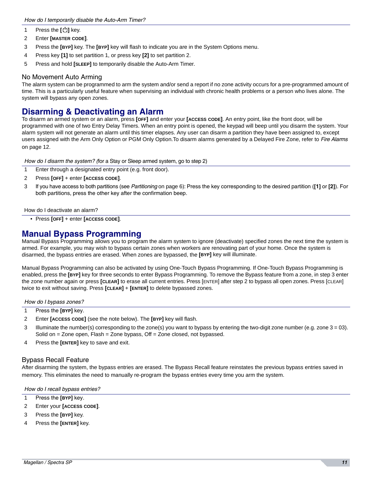- 1 Press the  $\left[\begin{array}{c} 1 \end{array}\right]$  key.
- 2 Enter **[MASTER CODE]**.
- 3 Press the **[BYP]** key. The **[BYP]** key will flash to indicate you are in the System Options menu.
- 4 Press key **[1]** to set partition 1, or press key **[2]** to set partition 2.
- 5 Press and hold **[SLEEP]** to temporarily disable the Auto-Arm Timer.

#### No Movement Auto Arming

The alarm system can be programmed to arm the system and/or send a report if no zone activity occurs for a pre-programmed amount of time. This is a particularly useful feature when supervising an individual with chronic health problems or a person who lives alone. The system will bypass any open zones.

### **Disarming & Deactivating an Alarm**

To disarm an armed system or an alarm, press **[OFF]** and enter your **[ACCESS CODE]**. An entry point, like the front door, will be programmed with one of two Entry Delay Timers. When an entry point is opened, the keypad will beep until you disarm the system. Your alarm system will not generate an alarm until this timer elapses. Any user can disarm a partition they have been assigned to, except users assigned with the Arm Only Option or PGM Only Option.To disarm alarms generated by a Delayed Fire Zone, refer to *[Fire Alarms](#page-13-1)*  [on page 12.](#page-13-1)

*How do I disarm the system? (*for a Stay or Sleep armed system, go to step 2)

- 1 Enter through a designated entry point (e.g. front door).
- 2 Press **[OFF]** + enter **[ACCESS CODE]**.
- 3 If you have access to both partitions (see *[Partitioning](#page-7-0)* on page 6): Press the key corresponding to the desired partition (**[1]** or **[2]**)*.* For both partitions, press the other key after the confirmation beep.

#### How do I deactivate an alarm?

• Press **[OFF]** + enter **[ACCESS CODE]**.

### <span id="page-12-0"></span>**Manual Bypass Programming**

Manual Bypass Programming allows you to program the alarm system to ignore (deactivate) specified zones the next time the system is armed. For example, you may wish to bypass certain zones when workers are renovating part of your home. Once the system is disarmed, the bypass entries are erased. When zones are bypassed, the **[BYP]** key will illuminate.

Manual Bypass Programming can also be activated by using One-Touch Bypass Programming. If One-Touch Bypass Programming is enabled, press the **[BYP]** key for three seconds to enter Bypass Programming. To remove the Bypass feature from a zone, in step 3 enter the zone number again or press **[CLEAR]** to erase all current entries. Press [ENTER] after step 2 to bypass all open zones. Press [CLEAR] twice to exit without saving. Press **[CLEAR]** + **[ENTER]** to delete bypassed zones.

*How do I bypass zones?*

- 1 Press the **[BYP]** key.
- 2 Enter **[ACCESS CODE]** (see the note below). The **[BYP]** key will flash.
- 3 Illuminate the number(s) corresponding to the zone(s) you want to bypass by entering the two-digit zone number (e.g. zone 3 = 03). Solid on = Zone open, Flash = Zone bypass, Off = Zone closed, not bypassed.
- 4 Press the **[ENTER]** key to save and exit.

#### Bypass Recall Feature

After disarming the system, the bypass entries are erased. The Bypass Recall feature reinstates the previous bypass entries saved in memory. This eliminates the need to manually re-program the bypass entries every time you arm the system.

#### *How do I recall bypass entries?*

- 1 Press the **[BYP]** key.
- 2 Enter your **[ACCESS CODE]**.
- 3 Press the **[BYP]** key.
- 4 Press the **[ENTER]** key.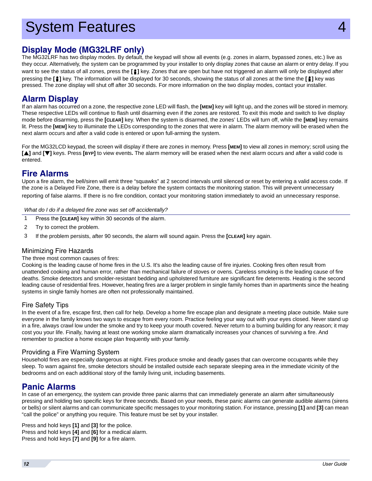# **System Features**

## <span id="page-13-0"></span>**Display Mode (MG32LRF only)**

The MG32LRF has two display modes. By default, the keypad will show all events (e.g. zones in alarm, bypassed zones, etc.) live as they occur. Alternatively, the system can be programmed by your installer to only display zones that cause an alarm or entry delay. If you want to see the status of all zones, press the [1] key. Zones that are open but have not triggered an alarm will only be displayed after pressing the **[ ]** key. The information will be displayed for 30 seconds, showing the status of all zones at the time the **[ ]** key was pressed. The zone display will shut off after 30 seconds. For more information on the two display modes, contact your installer.

### **Alarm Display**

If an alarm has occurred on a zone, the respective zone LED will flash, the **[MEM]** key will light up, and the zones will be stored in memory. These respective LEDs will continue to flash until disarming even if the zones are restored. To exit this mode and switch to live display mode before disarming, press the **[CLEAR]** key. When the system is disarmed, the zones' LEDs will turn off, while the **[MEM]** key remains lit. Press the **[MEM]** key to illuminate the LEDs corresponding to the zones that were in alarm. The alarm memory will be erased when the next alarm occurs and after a valid code is entered or upon full-arming the system.

For the MG32LCD keypad, the screen will display if there are zones in memory. Press **[MEM]** to view all zones in memory; scroll using the **[**S**]** and **[**T**]** keys. Press **[BYP]** to view events**.** The alarm memory will be erased when the next alarm occurs and after a valid code is entered.

### <span id="page-13-1"></span>**Fire Alarms**

Upon a fire alarm, the bell/siren will emit three "squawks" at 2 second intervals until silenced or reset by entering a valid access code. If the zone is a Delayed Fire Zone, there is a delay before the system contacts the monitoring station. This will prevent unnecessary reporting of false alarms. If there is no fire condition, contact your monitoring station immediately to avoid an unnecessary response.

*What do I do if a delayed fire zone was set off accidentally?*

- 1 Press the **[CLEAR]** key within 30 seconds of the alarm.
- 2 Try to correct the problem.
- 3 If the problem persists, after 90 seconds, the alarm will sound again. Press the **[CLEAR]** key again.

#### Minimizing Fire Hazards

#### The three most common causes of fires:

Cooking is the leading cause of home fires in the U.S. It's also the leading cause of fire injuries. Cooking fires often result from unattended cooking and human error, rather than mechanical failure of stoves or ovens. Careless smoking is the leading cause of fire deaths. Smoke detectors and smolder-resistant bedding and upholstered furniture are significant fire deterrents. Heating is the second leading cause of residential fires. However, heating fires are a larger problem in single family homes than in apartments since the heating systems in single family homes are often not professionally maintained.

#### Fire Safety Tips

In the event of a fire, escape first, then call for help. Develop a home fire escape plan and designate a meeting place outside. Make sure everyone in the family knows two ways to escape from every room. Practice feeling your way out with your eyes closed. Never stand up in a fire, always crawl low under the smoke and try to keep your mouth covered. Never return to a burning building for any reason; it may cost you your life. Finally, having at least one working smoke alarm dramatically increases your chances of surviving a fire. And remember to practice a home escape plan frequently with your family.

#### Providing a Fire Warning System

Household fires are especially dangerous at night. Fires produce smoke and deadly gases that can overcome occupants while they sleep. To warn against fire, smoke detectors should be installed outside each separate sleeping area in the immediate vicinity of the bedrooms and on each additional story of the family living unit, including basements.

### **Panic Alarms**

In case of an emergency, the system can provide three panic alarms that can immediately generate an alarm after simultaneously pressing and holding two specific keys for three seconds. Based on your needs, these panic alarms can generate audible alarms (sirens or bells) or silent alarms and can communicate specific messages to your monitoring station. For instance, pressing **[1]** and **[3]** can mean "call the police" or anything you require. This feature must be set by your installer.

Press and hold keys **[1]** and **[3]** for the police. Press and hold keys **[4]** and **[6]** for a medical alarm. Press and hold keys **[7]** and **[9]** for a fire alarm.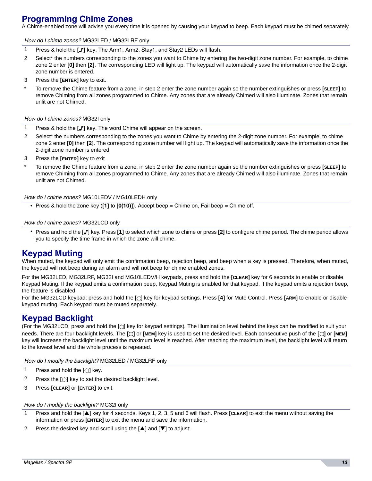## **Programming Chime Zones**

A Chime-enabled zone will advise you every time it is opened by causing your keypad to beep. Each keypad must be chimed separately.

#### *How do I chime zones?* MG32LED / MG32LRF only

- 1 Press & hold the **[J']** key. The Arm1, Arm2, Stay1, and Stay2 LEDs will flash.
- 2 Select\* the numbers corresponding to the zones you want to Chime by entering the two-digit zone number. For example, to chime zone 2 enter **[0]** then **[2]**. The corresponding LED will light up. The keypad will automatically save the information once the 2-digit zone number is entered.
- 3 Press the **[ENTER]** key to exit.
- \* To remove the Chime feature from a zone, in step 2 enter the zone number again so the number extinguishes or press **[SLEEP]** to remove Chiming from all zones programmed to Chime. Any zones that are already Chimed will also illuminate. Zones that remain unlit are not Chimed.

#### *How do I chime zones?* MG32I only

- 1 Press & hold the **[J']** key. The word Chime will appear on the screen.
- 2 Select\* the numbers corresponding to the zones you want to Chime by entering the 2-digit zone number. For example, to chime zone 2 enter **[0]** then **[2]**. The corresponding zone number will light up. The keypad will automatically save the information once the 2-digit zone number is entered.
- 3 Press the **[ENTER]** key to exit.
- \* To remove the Chime feature from a zone, in step 2 enter the zone number again so the number extinguishes or press **[SLEEP]** to remove Chiming from all zones programmed to Chime. Any zones that are already Chimed will also illuminate. Zones that remain unlit are not Chimed.

#### *How do I chime zones?* MG10LEDV / MG10LEDH only

• Press & hold the zone key (**[1]** to **[0(10)]**). Accept beep = Chime on, Fail beep = Chime off.

#### *How do I chime zones?* MG32LCD only

• Press and hold the [ ] key. Press **[1]** to select which zone to chime or press **[2]** to configure chime period. The chime period allows you to specify the time frame in which the zone will chime.

### **Keypad Muting**

When muted, the keypad will only emit the confirmation beep, rejection beep, and beep when a key is pressed. Therefore, when muted, the keypad will not beep during an alarm and will not beep for chime enabled zones.

For the MG32LED, MG32LRF, MG32I and MG10LEDV/H keypads, press and hold the **[CLEAR]** key for 6 seconds to enable or disable Keypad Muting. If the keypad emits a confirmation beep, Keypad Muting is enabled for that keypad. If the keypad emits a rejection beep, the feature is disabled.

For the MG32LCD keypad: press and hold the [ $\circ$ ] key for keypad settings. Press **[4]** for Mute Control. Press **[ARM]** to enable or disable keypad muting. Each keypad must be muted separately.

### <span id="page-14-0"></span>**Keypad Backlight**

(For the MG32LCD, press and hold the [ ] key for keypad settings)*.* The illumination level behind the keys can be modified to suit your needs. There are four backlight levels. The **[ ]** or **[MEM]** key is used to set the desired level. Each consecutive push of the **[ ]** or **[MEM]** key will increase the backlight level until the maximum level is reached. After reaching the maximum level, the backlight level will return to the lowest level and the whole process is repeated.

*How do I modify the backlight?* MG32LED / MG32LRF only

- 1 Press and hold the  $\lvert \bigcirc \rvert$  key.
- **2** Press the  $\lceil \bigcirc$  key to set the desired backlight level.
- 3 Press **[CLEAR]** or **[ENTER]** to exit.

#### *How do I modify the backlight?* MG32I only

- 1 Press and hold the [A] key for 4 seconds. Keys 1, 2, 3, 5 and 6 will flash. Press [CLEAR] to exit the menu without saving the information or press **[ENTER]** to exit the menu and save the information.
- 2 Press the desired key and scroll using the  $[\triangle]$  and  $[\blacktriangledown]$  to adjust: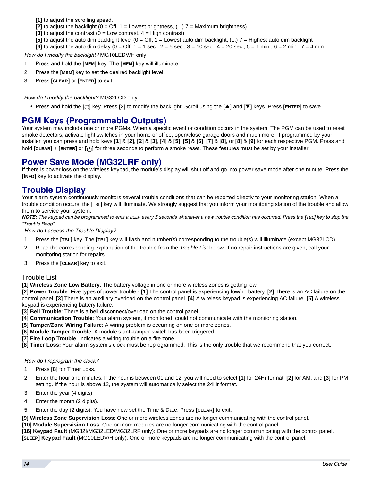**[1]** to adjust the scrolling speed.

- **[2]** to adjust the backlight ( $0 = \text{Off}$ ,  $1 = \text{Lowers}$  brightness, (...)  $7 = \text{Maximum brightness}$ )
- **[3]** to adjust the contrast  $(0 = Low contrast, 4 = High contrast)$
- **[5]** to adjust the auto dim backlight level ( $0 = \text{Off}$ ,  $1 = \text{Lowers}$  auto dim backlight,  $(...)$  7 = Highest auto dim backlight
- **[6]** to adjust the auto dim delay  $(0 = 0$ ff,  $1 = 1$  sec.,  $2 = 5$  sec.,  $3 = 10$  sec.,  $4 = 20$  sec.,  $5 = 1$  min.,  $6 = 2$  min.,  $7 = 4$  min.

*How do I modify the backlight?* MG10LEDV/H only

- 1 Press and hold the **[MEM]** key. The **[MEM]** key will illuminate.
- 2 Press the **[MEM]** key to set the desired backlight level.
- 3 Press **[CLEAR]** or **[ENTER]** to exit.

#### *How do I modify the backlight?* MG32LCD only

• Press and hold the **[ ]** key. Press **[2]** to modify the backlight. Scroll using the [S] and [T] keys. Press **[ENTER]** to save.

### **PGM Keys (Programmable Outputs)**

Your system may include one or more PGMs. When a specific event or condition occurs in the system, The PGM can be used to reset smoke detectors, activate light switches in your home or office, open/close garage doors and much more. If programmed by your installer, you can press and hold keys [1] & [2], [2] & [3], [4] & [5], [5] & [6], [7] & [8], or [8] & [9] for each respective PGM. Press and hold **[CLEAR]** + **[ENTER]** or **[ ]** for three seconds to perform a smoke reset. These features must be set by your installer.

### **Power Save Mode (MG32LRF only)**

If there is power loss on the wireless keypad, the module's display will shut off and go into power save mode after one minute. Press the **[INFO]** key to activate the display.

### **Trouble Display**

Your alarm system continuously monitors several trouble conditions that can be reported directly to your monitoring station. When a trouble condition occurs, the [TBL] key will illuminate. We strongly suggest that you inform your monitoring station of the trouble and allow them to service your system.

*NOTE: The keypad can be programmed to emit a BEEP every 5 seconds whenever a new trouble condition has occurred. Press the [TBL] key to stop the "Trouble Beep".*

*How do I access the Trouble Display?*

- 1 Press the **[TBL]** key. The **[TBL]** key will flash and number(s) corresponding to the trouble(s) will illuminate (except MG32LCD)
- 2 Read the corresponding explanation of the trouble from the *Trouble List* below. If no repair instructions are given, call your monitoring station for repairs.
- 3 Press the **[CLEAR]** key to exit.

#### <span id="page-15-0"></span>Trouble List

**[1] Wireless Zone Low Battery**: The battery voltage in one or more wireless zones is getting low.

**[2] Power Trouble**: Five types of power trouble - **[1]** The control panel is experiencing low/no battery. **[2]** There is an AC failure on the control panel. **[3]** There is an auxiliary overload on the control panel. **[4]** A wireless keypad is experiencing AC failure. **[5]** A wireless keypad is experiencing battery failure.

**[3] Bell Trouble**: There is a bell disconnect/overload on the control panel.

- **[4] Communication Trouble**: Your alarm system, if monitored, could not communicate with the monitoring station.
- **[5] Tamper/Zone Wiring Failure**: A wiring problem is occurring on one or more zones.
- **[6] Module Tamper Trouble**: A module's anti-tamper switch has been triggered.

**[7] Fire Loop Trouble**: Indicates a wiring trouble on a fire zone.

**[8] Timer Loss:** Your alarm system's clock must be reprogrammed. This is the only trouble that we recommend that you correct.

#### *How do I reprogram the clock?*

- 1 Press **[8]** for Timer Loss.
- 2 Enter the hour and minutes. If the hour is between 01 and 12, you will need to select **[1]** for 24Hr format, **[2]** for AM, and **[3]** for PM setting. If the hour is above 12, the system will automatically select the 24Hr format.
- 3 Enter the year (4 digits).
- 4 Enter the month (2 digits).
- 5 Enter the day (2 digits). You have now set the Time & Date. Press **[CLEAR]** to exit.

**[9] Wireless Zone Supervision Loss**: One or more wireless zones are no longer communicating with the control panel.

**[10] Module Supervision Loss**: One or more modules are no longer communicating with the control panel.

**[16] Keypad Fault** (MG32I/MG32LED/MG32LRF only): One or more keypads are no longer communicating with the control panel. **[SLEEP] Keypad Fault** (MG10LEDV/H only): One or more keypads are no longer communicating with the control panel.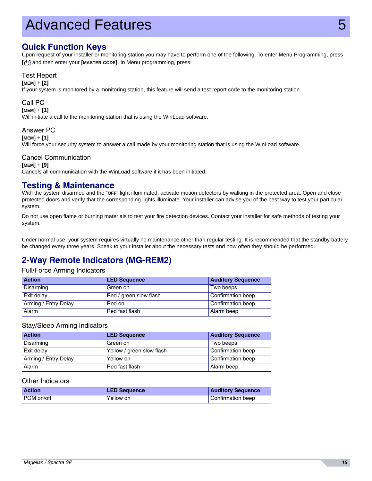# Advanced Features 5

### **Quick Function Keys**

Upon request of your installer or monitoring station you may have to perform one of the following. To enter Menu Programming, press **[ ]** and then enter your **[MASTER CODE]**. In Menu programming, press:

#### Test Report

**[MEM]** + **[2]**

If your system is monitored by a monitoring station, this feature will send a test report code to the monitoring station.

#### Call PC

**[MEM]** + **[1]**

Will initiate a call to the monitoring station that is using the WinLoad software.

#### Answer PC

**[MEM]** + **[1]**

Will force your security system to answer a call made by your monitoring station that is using the WinLoad software.

#### Cancel Communication

**[MEM]** + **[9]** Cancels all communication with the WinLoad software if it has been initiated.

### **Testing & Maintenance**

With the system disarmed and the "**OFF**" light illuminated, activate motion detectors by walking in the protected area. Open and close protected doors and verify that the corresponding lights illuminate. Your installer can advise you of the best way to test your particular system.

Do not use open flame or burning materials to test your fire detection devices. Contact your installer for safe methods of testing your system.

Under normal use, your system requires virtually no maintenance other than regular testing. It is recommended that the standby battery be changed every three years. Speak to your installer about the necessary tests and how often they should be performed.

## **2-Way Remote Indicators (MG-REM2)**

#### Full/Force Arming Indicators

| <b>Action</b>        | <b>LED Sequence</b>    | <b>Auditory Sequence</b> |
|----------------------|------------------------|--------------------------|
| Disarming            | Green on               | Two beeps                |
| Exit delay           | Red / green slow flash | Confirmation beep        |
| Arming / Entry Delay | Red on                 | Confirmation beep        |
| Alarm                | Red fast flash         | Alarm beep               |

#### Stay/Sleep Arming Indicators

| <b>Action</b>        | <b>LED Sequence</b>       | <b>Auditory Sequence</b> |
|----------------------|---------------------------|--------------------------|
| Disarming            | Green on                  | Two beeps                |
| Exit delay           | Yellow / green slow flash | Confirmation beep        |
| Arming / Entry Delay | Yellow on                 | Confirmation beep        |
| Alarm                | Red fast flash            | Alarm beep               |

#### Other Indicators

| <b>Action</b> | <b>LED Sequence</b> | <b>Auditory Sequence</b> |
|---------------|---------------------|--------------------------|
| l PGM on/off  | Yellow on           | Confirmation beep        |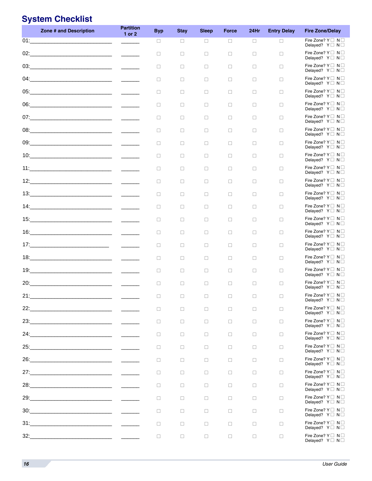# <span id="page-17-0"></span>**System Checklist**

| Fire Zone? $Y \square N \square$<br>01:<br>$\Box$<br>$\Box$<br>$\Box$<br>$\Box$<br>$\Box$<br>$\Box$<br>Delayed? $Y \square N \square$<br>$02: \underline{\hspace{2.5cm}}$<br>Fire Zone? $Y \square N \square$<br>$\mathcal{L}^{\text{max}}$ and $\mathcal{L}^{\text{max}}$<br>$\Box$<br>$\Box$<br>$\Box$<br>$\Box$<br>$\Box$<br>$\Box$<br>Delayed? $Y \square N \square$<br>Fire Zone? $Y \square N \square$<br>□<br>$\Box$<br>$\Box$<br>$\Box$<br>$\Box$<br>$\Box$<br>Delayed? $Y \square N \square$<br>$04: \underline{\hspace{2cm}} \underline{\hspace{2cm}}$<br>Fire Zone? $Y \square N \square$<br>$\Box$<br>$\Box$<br>$\Box$<br>$\Box$<br>$\Box$<br>$\Box$<br>Delayed? $Y \square N \square$<br>Fire Zone? $Y \square N \square$<br>$\Box$<br>$\Box$<br>$\Box$<br>$\Box$<br>$\Box$<br>$\Box$<br>Delayed? $Y \square N \square$<br>Fire Zone? $Y \square N \square$<br>$\Box$<br>$\Box$<br>$\Box$<br>$\Box$<br>$\Box$<br>□<br>Delayed? $Y \square N \square$<br>Fire Zone? $Y \square N \square$<br>$\Box$<br>□<br>$\Box$<br>$\Box$<br>$\Box$<br>$\Box$<br>Delayed? $Y \square N \square$<br>Fire Zone? $Y \square N \square$<br>$\Box$<br>$\Box$<br>$\Box$<br>$\Box$<br>$\Box$<br>$\Box$<br>Delayed? $Y \square N \square$<br>Fire Zone? $Y \square N \square$<br>$\Box$<br>$\Box$<br>$\Box$<br>$\Box$<br>$\Box$<br>$\Box$<br>Delayed? $Y \square N \square$<br>Fire Zone? $Y \square N \square$<br>$\Box$<br>$\Box$<br>$\Box$<br>$\Box$<br>$\Box$<br>$\Box$<br>Delayed? $Y \square N \square$<br>Fire Zone? $Y \square N \square$<br>$\Box$<br>□<br>$\Box$<br>$\Box$<br>$\Box$<br>$\Box$<br>Delayed? $Y \square N \square$<br>Fire Zone? $Y \square N \square$<br>$\Box$<br>□<br>$\Box$<br>0<br>$\Box$<br>$\Box$<br>Delayed? $Y \square N \square$<br>Fire Zone? $Y \square N \square$<br>$\Box$<br>$\Box$<br>$\Box$<br>$\Box$<br>$\Box$<br>$\Box$<br>Delayed? $Y \square N \square$<br>Fire Zone? $Y \square N \square$<br>$\Box$<br>$\Box$<br>$\Box$<br>$\Box$<br>$\Box$<br>$\Box$<br>Delayed? $Y \square N \square$<br>Fire Zone? $Y \square N \square$<br>$\Box$<br>$\Box$<br>□<br>$\Box$<br>$\Box$<br>$\Box$<br>Delayed? $Y \square N \square$<br>Fire Zone? $Y \square N \square$<br>$\Box$<br>□<br>$\Box$<br>$\Box$<br>$\Box$<br>$\Box$<br>Delayed? $Y \square N \square$<br>Fire Zone? $Y \square N \square$<br>$\frac{1}{2}$<br>$\Box$<br>$\Box$<br>$\Box$<br>$\Box$<br>$\Box$<br>$\Box$<br>Delayed? $Y \square N \square$<br>Fire Zone? $Y \square N \square$<br>$\Box$<br>$\Box$<br>$\Box$<br>$\Box$<br>$\Box$<br>$\Box$<br>Delayed? $Y \square N \square$<br>Fire Zone? $Y \square N \square$<br>$\Box$<br>$\Box$<br>$\Box$<br>$\Box$<br>$\Box$<br>$\Box$<br>Delayed? $Y \square N \square$<br>20:<br>Fire Zone? $Y \square N \square$<br>□<br>$\Box$<br>□<br>$\Box$<br>$\Box$<br>$\Box$<br>Delayed? $Y \square N \square$<br>Fire Zone? Y □ N □<br>21:<br>$\Box$<br>П.<br>$\Box$<br>n.<br>$\Box$<br>$\Box$<br>Delayed? Y□ N□<br>Fire Zone? $Y \square N \square$<br>22:<br><u> 1989 - Jan Barnett, fransk politik (d. 1989)</u><br>$\Box$<br>□<br>$\Box$<br>0<br>□<br>$\Box$<br>Delayed? $Y \square N \square$<br>Fire Zone? Y□ N□<br>23:<br><u> 1989 - Johann Barbara, martin amerikan ba</u><br>$\Box$<br>$\Box$<br>$\Box$<br>$\Box$<br>$\Box$<br>$\Box$<br>Delayed? $Y \square N \square$<br>Fire Zone? $Y \square N \square$<br>24:<br><u> 1989 - Johann Barn, mars ann an t-Amhair ann an t-A</u><br>$\Box$<br>$\Box$<br>$\Box$<br>$\Box$<br>$\Box$<br>$\Box$<br>Delayed? Y□ N□<br>Fire Zone? $Y \square N \square$<br>25:<br><u> 1989 - Johann Stein, mars an deus Amerikaansk kommunister (</u><br>$\Box$<br>□<br>$\Box$<br>$\Box$<br>$\Box$<br>$\Box$<br>Delayed? $Y \square N \square$<br>Fire Zone? $Y \square N \square$<br>26: 26: 2008<br>$\Box$<br>$\Box$<br>$\Box$<br>0<br>□<br>$\Box$<br>Delayed? $Y \square N \square$<br>Fire Zone? $Y \square N \square$<br>27:<br><u> 1989 - Johann Barbara, martin a</u><br>$\Box$<br>$\Box$<br>$\Box$<br>$\Box$<br>$\Box$<br>$\Box$<br>Delayed? $Y \square N \square$<br>Fire Zone? $Y \square N \square$<br>28:<br><u> 1989 - Johann Barn, mars ann an t-Amhair an t-Amhair an t-Amhair an t-Amhair an t-Amhair an t-Amhair an t-A</u><br>$\Box$<br>$\Box$<br>$\Box$<br>$\Box$<br>$\Box$<br>$\Box$<br>Delayed? $Y \square N \square$<br>Fire Zone? $Y \square N \square$<br>$\Box$<br>□<br>$\Box$<br>$\Box$<br>$\Box$<br>$\Box$<br>Delayed? $Y \square N \square$<br>Fire Zone? $Y \square N \square$<br>$\Box$<br>$\Box$<br>$\Box$<br>0<br>$\Box$<br>$\Box$<br>Delayed? $Y \square N \square$<br>Fire Zone? $Y \square N \square$<br><u> 1980 - Johann Barn, mars eta bainar eta baina eta baina eta baina eta baina eta baina eta baina eta baina eta</u><br>31:<br>$\Box$<br>$\Box$<br>$\Box$<br>$\Box$<br>$\Box$<br>$\Box$<br>Delayed? Y□ N□<br>Fire Zone? $Y \square N \square$<br>$\Box$<br>$\Box$<br>$\Box$<br>$\Box$<br>$\Box$<br>$\Box$<br>Delayed? $Y \square N \square$ | Zone # and Description | <b>Partition</b><br>$1$ or $2$ | <b>Byp</b> | <b>Stay</b> | <b>Sleep</b> | <b>Force</b> | 24Hr | <b>Entry Delay</b> | <b>Fire Zone/Delay</b> |
|---------------------------------------------------------------------------------------------------------------------------------------------------------------------------------------------------------------------------------------------------------------------------------------------------------------------------------------------------------------------------------------------------------------------------------------------------------------------------------------------------------------------------------------------------------------------------------------------------------------------------------------------------------------------------------------------------------------------------------------------------------------------------------------------------------------------------------------------------------------------------------------------------------------------------------------------------------------------------------------------------------------------------------------------------------------------------------------------------------------------------------------------------------------------------------------------------------------------------------------------------------------------------------------------------------------------------------------------------------------------------------------------------------------------------------------------------------------------------------------------------------------------------------------------------------------------------------------------------------------------------------------------------------------------------------------------------------------------------------------------------------------------------------------------------------------------------------------------------------------------------------------------------------------------------------------------------------------------------------------------------------------------------------------------------------------------------------------------------------------------------------------------------------------------------------------------------------------------------------------------------------------------------------------------------------------------------------------------------------------------------------------------------------------------------------------------------------------------------------------------------------------------------------------------------------------------------------------------------------------------------------------------------------------------------------------------------------------------------------------------------------------------------------------------------------------------------------------------------------------------------------------------------------------------------------------------------------------------------------------------------------------------------------------------------------------------------------------------------------------------------------------------------------------------------------------------------------------------------------------------------------------------------------------------------------------------------------------------------------------------------------------------------------------------------------------------------------------------------------------------------------------------------------------------------------------------------------------------------------------------------------------------------------------------------------------------------------------------------------------------------------------------------------------------------------------------------------------------------------------------------------------------------------------------------------------------------------------------------------------------------------------------------------------------------------------------------------------------------------------------------------------------------------------------------------------------------------------------------------------------------------------------------------------------------------------------------------------------------------------------------------------------------------------------------------------------------------------------------------------------------------------------------------------------------------------------------------------------------------------------------------------------------------------------------------------------------------------------------------------------------------------------------------------------------------------------------------------------------------------------------------------------------------------------------------------------------------------|------------------------|--------------------------------|------------|-------------|--------------|--------------|------|--------------------|------------------------|
|                                                                                                                                                                                                                                                                                                                                                                                                                                                                                                                                                                                                                                                                                                                                                                                                                                                                                                                                                                                                                                                                                                                                                                                                                                                                                                                                                                                                                                                                                                                                                                                                                                                                                                                                                                                                                                                                                                                                                                                                                                                                                                                                                                                                                                                                                                                                                                                                                                                                                                                                                                                                                                                                                                                                                                                                                                                                                                                                                                                                                                                                                                                                                                                                                                                                                                                                                                                                                                                                                                                                                                                                                                                                                                                                                                                                                                                                                                                                                                                                                                                                                                                                                                                                                                                                                                                                                                                                                                                                                                                                                                                                                                                                                                                                                                                                                                                                                                                                                               |                        |                                |            |             |              |              |      |                    |                        |
|                                                                                                                                                                                                                                                                                                                                                                                                                                                                                                                                                                                                                                                                                                                                                                                                                                                                                                                                                                                                                                                                                                                                                                                                                                                                                                                                                                                                                                                                                                                                                                                                                                                                                                                                                                                                                                                                                                                                                                                                                                                                                                                                                                                                                                                                                                                                                                                                                                                                                                                                                                                                                                                                                                                                                                                                                                                                                                                                                                                                                                                                                                                                                                                                                                                                                                                                                                                                                                                                                                                                                                                                                                                                                                                                                                                                                                                                                                                                                                                                                                                                                                                                                                                                                                                                                                                                                                                                                                                                                                                                                                                                                                                                                                                                                                                                                                                                                                                                                               |                        |                                |            |             |              |              |      |                    |                        |
|                                                                                                                                                                                                                                                                                                                                                                                                                                                                                                                                                                                                                                                                                                                                                                                                                                                                                                                                                                                                                                                                                                                                                                                                                                                                                                                                                                                                                                                                                                                                                                                                                                                                                                                                                                                                                                                                                                                                                                                                                                                                                                                                                                                                                                                                                                                                                                                                                                                                                                                                                                                                                                                                                                                                                                                                                                                                                                                                                                                                                                                                                                                                                                                                                                                                                                                                                                                                                                                                                                                                                                                                                                                                                                                                                                                                                                                                                                                                                                                                                                                                                                                                                                                                                                                                                                                                                                                                                                                                                                                                                                                                                                                                                                                                                                                                                                                                                                                                                               |                        |                                |            |             |              |              |      |                    |                        |
|                                                                                                                                                                                                                                                                                                                                                                                                                                                                                                                                                                                                                                                                                                                                                                                                                                                                                                                                                                                                                                                                                                                                                                                                                                                                                                                                                                                                                                                                                                                                                                                                                                                                                                                                                                                                                                                                                                                                                                                                                                                                                                                                                                                                                                                                                                                                                                                                                                                                                                                                                                                                                                                                                                                                                                                                                                                                                                                                                                                                                                                                                                                                                                                                                                                                                                                                                                                                                                                                                                                                                                                                                                                                                                                                                                                                                                                                                                                                                                                                                                                                                                                                                                                                                                                                                                                                                                                                                                                                                                                                                                                                                                                                                                                                                                                                                                                                                                                                                               |                        |                                |            |             |              |              |      |                    |                        |
|                                                                                                                                                                                                                                                                                                                                                                                                                                                                                                                                                                                                                                                                                                                                                                                                                                                                                                                                                                                                                                                                                                                                                                                                                                                                                                                                                                                                                                                                                                                                                                                                                                                                                                                                                                                                                                                                                                                                                                                                                                                                                                                                                                                                                                                                                                                                                                                                                                                                                                                                                                                                                                                                                                                                                                                                                                                                                                                                                                                                                                                                                                                                                                                                                                                                                                                                                                                                                                                                                                                                                                                                                                                                                                                                                                                                                                                                                                                                                                                                                                                                                                                                                                                                                                                                                                                                                                                                                                                                                                                                                                                                                                                                                                                                                                                                                                                                                                                                                               |                        |                                |            |             |              |              |      |                    |                        |
|                                                                                                                                                                                                                                                                                                                                                                                                                                                                                                                                                                                                                                                                                                                                                                                                                                                                                                                                                                                                                                                                                                                                                                                                                                                                                                                                                                                                                                                                                                                                                                                                                                                                                                                                                                                                                                                                                                                                                                                                                                                                                                                                                                                                                                                                                                                                                                                                                                                                                                                                                                                                                                                                                                                                                                                                                                                                                                                                                                                                                                                                                                                                                                                                                                                                                                                                                                                                                                                                                                                                                                                                                                                                                                                                                                                                                                                                                                                                                                                                                                                                                                                                                                                                                                                                                                                                                                                                                                                                                                                                                                                                                                                                                                                                                                                                                                                                                                                                                               |                        |                                |            |             |              |              |      |                    |                        |
|                                                                                                                                                                                                                                                                                                                                                                                                                                                                                                                                                                                                                                                                                                                                                                                                                                                                                                                                                                                                                                                                                                                                                                                                                                                                                                                                                                                                                                                                                                                                                                                                                                                                                                                                                                                                                                                                                                                                                                                                                                                                                                                                                                                                                                                                                                                                                                                                                                                                                                                                                                                                                                                                                                                                                                                                                                                                                                                                                                                                                                                                                                                                                                                                                                                                                                                                                                                                                                                                                                                                                                                                                                                                                                                                                                                                                                                                                                                                                                                                                                                                                                                                                                                                                                                                                                                                                                                                                                                                                                                                                                                                                                                                                                                                                                                                                                                                                                                                                               |                        |                                |            |             |              |              |      |                    |                        |
|                                                                                                                                                                                                                                                                                                                                                                                                                                                                                                                                                                                                                                                                                                                                                                                                                                                                                                                                                                                                                                                                                                                                                                                                                                                                                                                                                                                                                                                                                                                                                                                                                                                                                                                                                                                                                                                                                                                                                                                                                                                                                                                                                                                                                                                                                                                                                                                                                                                                                                                                                                                                                                                                                                                                                                                                                                                                                                                                                                                                                                                                                                                                                                                                                                                                                                                                                                                                                                                                                                                                                                                                                                                                                                                                                                                                                                                                                                                                                                                                                                                                                                                                                                                                                                                                                                                                                                                                                                                                                                                                                                                                                                                                                                                                                                                                                                                                                                                                                               |                        |                                |            |             |              |              |      |                    |                        |
|                                                                                                                                                                                                                                                                                                                                                                                                                                                                                                                                                                                                                                                                                                                                                                                                                                                                                                                                                                                                                                                                                                                                                                                                                                                                                                                                                                                                                                                                                                                                                                                                                                                                                                                                                                                                                                                                                                                                                                                                                                                                                                                                                                                                                                                                                                                                                                                                                                                                                                                                                                                                                                                                                                                                                                                                                                                                                                                                                                                                                                                                                                                                                                                                                                                                                                                                                                                                                                                                                                                                                                                                                                                                                                                                                                                                                                                                                                                                                                                                                                                                                                                                                                                                                                                                                                                                                                                                                                                                                                                                                                                                                                                                                                                                                                                                                                                                                                                                                               |                        |                                |            |             |              |              |      |                    |                        |
|                                                                                                                                                                                                                                                                                                                                                                                                                                                                                                                                                                                                                                                                                                                                                                                                                                                                                                                                                                                                                                                                                                                                                                                                                                                                                                                                                                                                                                                                                                                                                                                                                                                                                                                                                                                                                                                                                                                                                                                                                                                                                                                                                                                                                                                                                                                                                                                                                                                                                                                                                                                                                                                                                                                                                                                                                                                                                                                                                                                                                                                                                                                                                                                                                                                                                                                                                                                                                                                                                                                                                                                                                                                                                                                                                                                                                                                                                                                                                                                                                                                                                                                                                                                                                                                                                                                                                                                                                                                                                                                                                                                                                                                                                                                                                                                                                                                                                                                                                               |                        |                                |            |             |              |              |      |                    |                        |
|                                                                                                                                                                                                                                                                                                                                                                                                                                                                                                                                                                                                                                                                                                                                                                                                                                                                                                                                                                                                                                                                                                                                                                                                                                                                                                                                                                                                                                                                                                                                                                                                                                                                                                                                                                                                                                                                                                                                                                                                                                                                                                                                                                                                                                                                                                                                                                                                                                                                                                                                                                                                                                                                                                                                                                                                                                                                                                                                                                                                                                                                                                                                                                                                                                                                                                                                                                                                                                                                                                                                                                                                                                                                                                                                                                                                                                                                                                                                                                                                                                                                                                                                                                                                                                                                                                                                                                                                                                                                                                                                                                                                                                                                                                                                                                                                                                                                                                                                                               |                        |                                |            |             |              |              |      |                    |                        |
|                                                                                                                                                                                                                                                                                                                                                                                                                                                                                                                                                                                                                                                                                                                                                                                                                                                                                                                                                                                                                                                                                                                                                                                                                                                                                                                                                                                                                                                                                                                                                                                                                                                                                                                                                                                                                                                                                                                                                                                                                                                                                                                                                                                                                                                                                                                                                                                                                                                                                                                                                                                                                                                                                                                                                                                                                                                                                                                                                                                                                                                                                                                                                                                                                                                                                                                                                                                                                                                                                                                                                                                                                                                                                                                                                                                                                                                                                                                                                                                                                                                                                                                                                                                                                                                                                                                                                                                                                                                                                                                                                                                                                                                                                                                                                                                                                                                                                                                                                               |                        |                                |            |             |              |              |      |                    |                        |
|                                                                                                                                                                                                                                                                                                                                                                                                                                                                                                                                                                                                                                                                                                                                                                                                                                                                                                                                                                                                                                                                                                                                                                                                                                                                                                                                                                                                                                                                                                                                                                                                                                                                                                                                                                                                                                                                                                                                                                                                                                                                                                                                                                                                                                                                                                                                                                                                                                                                                                                                                                                                                                                                                                                                                                                                                                                                                                                                                                                                                                                                                                                                                                                                                                                                                                                                                                                                                                                                                                                                                                                                                                                                                                                                                                                                                                                                                                                                                                                                                                                                                                                                                                                                                                                                                                                                                                                                                                                                                                                                                                                                                                                                                                                                                                                                                                                                                                                                                               |                        |                                |            |             |              |              |      |                    |                        |
|                                                                                                                                                                                                                                                                                                                                                                                                                                                                                                                                                                                                                                                                                                                                                                                                                                                                                                                                                                                                                                                                                                                                                                                                                                                                                                                                                                                                                                                                                                                                                                                                                                                                                                                                                                                                                                                                                                                                                                                                                                                                                                                                                                                                                                                                                                                                                                                                                                                                                                                                                                                                                                                                                                                                                                                                                                                                                                                                                                                                                                                                                                                                                                                                                                                                                                                                                                                                                                                                                                                                                                                                                                                                                                                                                                                                                                                                                                                                                                                                                                                                                                                                                                                                                                                                                                                                                                                                                                                                                                                                                                                                                                                                                                                                                                                                                                                                                                                                                               |                        |                                |            |             |              |              |      |                    |                        |
|                                                                                                                                                                                                                                                                                                                                                                                                                                                                                                                                                                                                                                                                                                                                                                                                                                                                                                                                                                                                                                                                                                                                                                                                                                                                                                                                                                                                                                                                                                                                                                                                                                                                                                                                                                                                                                                                                                                                                                                                                                                                                                                                                                                                                                                                                                                                                                                                                                                                                                                                                                                                                                                                                                                                                                                                                                                                                                                                                                                                                                                                                                                                                                                                                                                                                                                                                                                                                                                                                                                                                                                                                                                                                                                                                                                                                                                                                                                                                                                                                                                                                                                                                                                                                                                                                                                                                                                                                                                                                                                                                                                                                                                                                                                                                                                                                                                                                                                                                               |                        |                                |            |             |              |              |      |                    |                        |
|                                                                                                                                                                                                                                                                                                                                                                                                                                                                                                                                                                                                                                                                                                                                                                                                                                                                                                                                                                                                                                                                                                                                                                                                                                                                                                                                                                                                                                                                                                                                                                                                                                                                                                                                                                                                                                                                                                                                                                                                                                                                                                                                                                                                                                                                                                                                                                                                                                                                                                                                                                                                                                                                                                                                                                                                                                                                                                                                                                                                                                                                                                                                                                                                                                                                                                                                                                                                                                                                                                                                                                                                                                                                                                                                                                                                                                                                                                                                                                                                                                                                                                                                                                                                                                                                                                                                                                                                                                                                                                                                                                                                                                                                                                                                                                                                                                                                                                                                                               |                        |                                |            |             |              |              |      |                    |                        |
|                                                                                                                                                                                                                                                                                                                                                                                                                                                                                                                                                                                                                                                                                                                                                                                                                                                                                                                                                                                                                                                                                                                                                                                                                                                                                                                                                                                                                                                                                                                                                                                                                                                                                                                                                                                                                                                                                                                                                                                                                                                                                                                                                                                                                                                                                                                                                                                                                                                                                                                                                                                                                                                                                                                                                                                                                                                                                                                                                                                                                                                                                                                                                                                                                                                                                                                                                                                                                                                                                                                                                                                                                                                                                                                                                                                                                                                                                                                                                                                                                                                                                                                                                                                                                                                                                                                                                                                                                                                                                                                                                                                                                                                                                                                                                                                                                                                                                                                                                               |                        |                                |            |             |              |              |      |                    |                        |
|                                                                                                                                                                                                                                                                                                                                                                                                                                                                                                                                                                                                                                                                                                                                                                                                                                                                                                                                                                                                                                                                                                                                                                                                                                                                                                                                                                                                                                                                                                                                                                                                                                                                                                                                                                                                                                                                                                                                                                                                                                                                                                                                                                                                                                                                                                                                                                                                                                                                                                                                                                                                                                                                                                                                                                                                                                                                                                                                                                                                                                                                                                                                                                                                                                                                                                                                                                                                                                                                                                                                                                                                                                                                                                                                                                                                                                                                                                                                                                                                                                                                                                                                                                                                                                                                                                                                                                                                                                                                                                                                                                                                                                                                                                                                                                                                                                                                                                                                                               |                        |                                |            |             |              |              |      |                    |                        |
|                                                                                                                                                                                                                                                                                                                                                                                                                                                                                                                                                                                                                                                                                                                                                                                                                                                                                                                                                                                                                                                                                                                                                                                                                                                                                                                                                                                                                                                                                                                                                                                                                                                                                                                                                                                                                                                                                                                                                                                                                                                                                                                                                                                                                                                                                                                                                                                                                                                                                                                                                                                                                                                                                                                                                                                                                                                                                                                                                                                                                                                                                                                                                                                                                                                                                                                                                                                                                                                                                                                                                                                                                                                                                                                                                                                                                                                                                                                                                                                                                                                                                                                                                                                                                                                                                                                                                                                                                                                                                                                                                                                                                                                                                                                                                                                                                                                                                                                                                               |                        |                                |            |             |              |              |      |                    |                        |
|                                                                                                                                                                                                                                                                                                                                                                                                                                                                                                                                                                                                                                                                                                                                                                                                                                                                                                                                                                                                                                                                                                                                                                                                                                                                                                                                                                                                                                                                                                                                                                                                                                                                                                                                                                                                                                                                                                                                                                                                                                                                                                                                                                                                                                                                                                                                                                                                                                                                                                                                                                                                                                                                                                                                                                                                                                                                                                                                                                                                                                                                                                                                                                                                                                                                                                                                                                                                                                                                                                                                                                                                                                                                                                                                                                                                                                                                                                                                                                                                                                                                                                                                                                                                                                                                                                                                                                                                                                                                                                                                                                                                                                                                                                                                                                                                                                                                                                                                                               |                        |                                |            |             |              |              |      |                    |                        |
|                                                                                                                                                                                                                                                                                                                                                                                                                                                                                                                                                                                                                                                                                                                                                                                                                                                                                                                                                                                                                                                                                                                                                                                                                                                                                                                                                                                                                                                                                                                                                                                                                                                                                                                                                                                                                                                                                                                                                                                                                                                                                                                                                                                                                                                                                                                                                                                                                                                                                                                                                                                                                                                                                                                                                                                                                                                                                                                                                                                                                                                                                                                                                                                                                                                                                                                                                                                                                                                                                                                                                                                                                                                                                                                                                                                                                                                                                                                                                                                                                                                                                                                                                                                                                                                                                                                                                                                                                                                                                                                                                                                                                                                                                                                                                                                                                                                                                                                                                               |                        |                                |            |             |              |              |      |                    |                        |
|                                                                                                                                                                                                                                                                                                                                                                                                                                                                                                                                                                                                                                                                                                                                                                                                                                                                                                                                                                                                                                                                                                                                                                                                                                                                                                                                                                                                                                                                                                                                                                                                                                                                                                                                                                                                                                                                                                                                                                                                                                                                                                                                                                                                                                                                                                                                                                                                                                                                                                                                                                                                                                                                                                                                                                                                                                                                                                                                                                                                                                                                                                                                                                                                                                                                                                                                                                                                                                                                                                                                                                                                                                                                                                                                                                                                                                                                                                                                                                                                                                                                                                                                                                                                                                                                                                                                                                                                                                                                                                                                                                                                                                                                                                                                                                                                                                                                                                                                                               |                        |                                |            |             |              |              |      |                    |                        |
|                                                                                                                                                                                                                                                                                                                                                                                                                                                                                                                                                                                                                                                                                                                                                                                                                                                                                                                                                                                                                                                                                                                                                                                                                                                                                                                                                                                                                                                                                                                                                                                                                                                                                                                                                                                                                                                                                                                                                                                                                                                                                                                                                                                                                                                                                                                                                                                                                                                                                                                                                                                                                                                                                                                                                                                                                                                                                                                                                                                                                                                                                                                                                                                                                                                                                                                                                                                                                                                                                                                                                                                                                                                                                                                                                                                                                                                                                                                                                                                                                                                                                                                                                                                                                                                                                                                                                                                                                                                                                                                                                                                                                                                                                                                                                                                                                                                                                                                                                               |                        |                                |            |             |              |              |      |                    |                        |
|                                                                                                                                                                                                                                                                                                                                                                                                                                                                                                                                                                                                                                                                                                                                                                                                                                                                                                                                                                                                                                                                                                                                                                                                                                                                                                                                                                                                                                                                                                                                                                                                                                                                                                                                                                                                                                                                                                                                                                                                                                                                                                                                                                                                                                                                                                                                                                                                                                                                                                                                                                                                                                                                                                                                                                                                                                                                                                                                                                                                                                                                                                                                                                                                                                                                                                                                                                                                                                                                                                                                                                                                                                                                                                                                                                                                                                                                                                                                                                                                                                                                                                                                                                                                                                                                                                                                                                                                                                                                                                                                                                                                                                                                                                                                                                                                                                                                                                                                                               |                        |                                |            |             |              |              |      |                    |                        |
|                                                                                                                                                                                                                                                                                                                                                                                                                                                                                                                                                                                                                                                                                                                                                                                                                                                                                                                                                                                                                                                                                                                                                                                                                                                                                                                                                                                                                                                                                                                                                                                                                                                                                                                                                                                                                                                                                                                                                                                                                                                                                                                                                                                                                                                                                                                                                                                                                                                                                                                                                                                                                                                                                                                                                                                                                                                                                                                                                                                                                                                                                                                                                                                                                                                                                                                                                                                                                                                                                                                                                                                                                                                                                                                                                                                                                                                                                                                                                                                                                                                                                                                                                                                                                                                                                                                                                                                                                                                                                                                                                                                                                                                                                                                                                                                                                                                                                                                                                               |                        |                                |            |             |              |              |      |                    |                        |
|                                                                                                                                                                                                                                                                                                                                                                                                                                                                                                                                                                                                                                                                                                                                                                                                                                                                                                                                                                                                                                                                                                                                                                                                                                                                                                                                                                                                                                                                                                                                                                                                                                                                                                                                                                                                                                                                                                                                                                                                                                                                                                                                                                                                                                                                                                                                                                                                                                                                                                                                                                                                                                                                                                                                                                                                                                                                                                                                                                                                                                                                                                                                                                                                                                                                                                                                                                                                                                                                                                                                                                                                                                                                                                                                                                                                                                                                                                                                                                                                                                                                                                                                                                                                                                                                                                                                                                                                                                                                                                                                                                                                                                                                                                                                                                                                                                                                                                                                                               |                        |                                |            |             |              |              |      |                    |                        |
|                                                                                                                                                                                                                                                                                                                                                                                                                                                                                                                                                                                                                                                                                                                                                                                                                                                                                                                                                                                                                                                                                                                                                                                                                                                                                                                                                                                                                                                                                                                                                                                                                                                                                                                                                                                                                                                                                                                                                                                                                                                                                                                                                                                                                                                                                                                                                                                                                                                                                                                                                                                                                                                                                                                                                                                                                                                                                                                                                                                                                                                                                                                                                                                                                                                                                                                                                                                                                                                                                                                                                                                                                                                                                                                                                                                                                                                                                                                                                                                                                                                                                                                                                                                                                                                                                                                                                                                                                                                                                                                                                                                                                                                                                                                                                                                                                                                                                                                                                               |                        |                                |            |             |              |              |      |                    |                        |
|                                                                                                                                                                                                                                                                                                                                                                                                                                                                                                                                                                                                                                                                                                                                                                                                                                                                                                                                                                                                                                                                                                                                                                                                                                                                                                                                                                                                                                                                                                                                                                                                                                                                                                                                                                                                                                                                                                                                                                                                                                                                                                                                                                                                                                                                                                                                                                                                                                                                                                                                                                                                                                                                                                                                                                                                                                                                                                                                                                                                                                                                                                                                                                                                                                                                                                                                                                                                                                                                                                                                                                                                                                                                                                                                                                                                                                                                                                                                                                                                                                                                                                                                                                                                                                                                                                                                                                                                                                                                                                                                                                                                                                                                                                                                                                                                                                                                                                                                                               |                        |                                |            |             |              |              |      |                    |                        |
|                                                                                                                                                                                                                                                                                                                                                                                                                                                                                                                                                                                                                                                                                                                                                                                                                                                                                                                                                                                                                                                                                                                                                                                                                                                                                                                                                                                                                                                                                                                                                                                                                                                                                                                                                                                                                                                                                                                                                                                                                                                                                                                                                                                                                                                                                                                                                                                                                                                                                                                                                                                                                                                                                                                                                                                                                                                                                                                                                                                                                                                                                                                                                                                                                                                                                                                                                                                                                                                                                                                                                                                                                                                                                                                                                                                                                                                                                                                                                                                                                                                                                                                                                                                                                                                                                                                                                                                                                                                                                                                                                                                                                                                                                                                                                                                                                                                                                                                                                               |                        |                                |            |             |              |              |      |                    |                        |
|                                                                                                                                                                                                                                                                                                                                                                                                                                                                                                                                                                                                                                                                                                                                                                                                                                                                                                                                                                                                                                                                                                                                                                                                                                                                                                                                                                                                                                                                                                                                                                                                                                                                                                                                                                                                                                                                                                                                                                                                                                                                                                                                                                                                                                                                                                                                                                                                                                                                                                                                                                                                                                                                                                                                                                                                                                                                                                                                                                                                                                                                                                                                                                                                                                                                                                                                                                                                                                                                                                                                                                                                                                                                                                                                                                                                                                                                                                                                                                                                                                                                                                                                                                                                                                                                                                                                                                                                                                                                                                                                                                                                                                                                                                                                                                                                                                                                                                                                                               |                        |                                |            |             |              |              |      |                    |                        |
|                                                                                                                                                                                                                                                                                                                                                                                                                                                                                                                                                                                                                                                                                                                                                                                                                                                                                                                                                                                                                                                                                                                                                                                                                                                                                                                                                                                                                                                                                                                                                                                                                                                                                                                                                                                                                                                                                                                                                                                                                                                                                                                                                                                                                                                                                                                                                                                                                                                                                                                                                                                                                                                                                                                                                                                                                                                                                                                                                                                                                                                                                                                                                                                                                                                                                                                                                                                                                                                                                                                                                                                                                                                                                                                                                                                                                                                                                                                                                                                                                                                                                                                                                                                                                                                                                                                                                                                                                                                                                                                                                                                                                                                                                                                                                                                                                                                                                                                                                               |                        |                                |            |             |              |              |      |                    |                        |
|                                                                                                                                                                                                                                                                                                                                                                                                                                                                                                                                                                                                                                                                                                                                                                                                                                                                                                                                                                                                                                                                                                                                                                                                                                                                                                                                                                                                                                                                                                                                                                                                                                                                                                                                                                                                                                                                                                                                                                                                                                                                                                                                                                                                                                                                                                                                                                                                                                                                                                                                                                                                                                                                                                                                                                                                                                                                                                                                                                                                                                                                                                                                                                                                                                                                                                                                                                                                                                                                                                                                                                                                                                                                                                                                                                                                                                                                                                                                                                                                                                                                                                                                                                                                                                                                                                                                                                                                                                                                                                                                                                                                                                                                                                                                                                                                                                                                                                                                                               |                        |                                |            |             |              |              |      |                    |                        |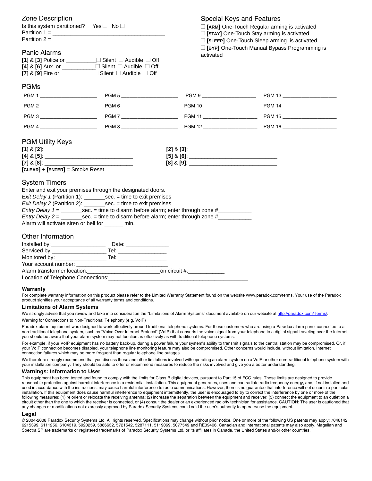| Zone Description                                  |                                                                                  | Special Keys and Features                     |                                                       |  |  |  |
|---------------------------------------------------|----------------------------------------------------------------------------------|-----------------------------------------------|-------------------------------------------------------|--|--|--|
| Is this system partitioned? Yes □ No □            |                                                                                  | □ [ARM] One-Touch Regular arming is activated |                                                       |  |  |  |
|                                                   |                                                                                  |                                               | □ [STAY] One-Touch Stay arming is activated           |  |  |  |
|                                                   |                                                                                  |                                               | □ [SLEEP] One-Touch Sleep arming is activated         |  |  |  |
|                                                   |                                                                                  |                                               | <b>E</b> [BYP] One-Touch Manual Bypass Programming is |  |  |  |
| <b>Panic Alarms</b>                               |                                                                                  | activated                                     |                                                       |  |  |  |
|                                                   | [1] & [3] Police or __________ □ Silent □ Audible □ Off                          |                                               |                                                       |  |  |  |
|                                                   | [4] & [6] Aux. or ____________ Silent □ Audible □ Off                            |                                               |                                                       |  |  |  |
|                                                   | [7] & [9] Fire or ___________ □ Silent □ Audible □ Off                           |                                               |                                                       |  |  |  |
| <b>PGMs</b>                                       |                                                                                  |                                               |                                                       |  |  |  |
| PGM 1                                             | PGM 5                                                                            | PGM 9 ________________________                |                                                       |  |  |  |
| PGM 2 _______________________                     | PGM 6                                                                            | PGM 10 _______________________                |                                                       |  |  |  |
| PGM 3                                             | PGM 7                                                                            |                                               |                                                       |  |  |  |
| PGM 4 _______________________                     | PGM 8 ________________________                                                   |                                               |                                                       |  |  |  |
| $[CLEAR] + [ENTER] =$ Smoke Reset                 |                                                                                  |                                               |                                                       |  |  |  |
| <b>System Timers</b>                              |                                                                                  |                                               |                                                       |  |  |  |
|                                                   | Enter and exit your premises through the designated doors.                       |                                               |                                                       |  |  |  |
|                                                   | Exit Delay 1 (Partition 1): ____________sec. = time to exit premises             |                                               |                                                       |  |  |  |
|                                                   | Exit Delay 2 (Partition 2): ____________sec. = time to exit premises             |                                               |                                                       |  |  |  |
|                                                   |                                                                                  |                                               |                                                       |  |  |  |
|                                                   | Entry Delay $2 = \_$ sec. = time to disarm before alarm; enter through zone $\#$ |                                               |                                                       |  |  |  |
| Alarm will activate siren or bell for ______ min. |                                                                                  |                                               |                                                       |  |  |  |
| Other Information                                 |                                                                                  |                                               |                                                       |  |  |  |
|                                                   |                                                                                  |                                               |                                                       |  |  |  |
|                                                   |                                                                                  |                                               |                                                       |  |  |  |
|                                                   |                                                                                  |                                               |                                                       |  |  |  |
|                                                   |                                                                                  |                                               |                                                       |  |  |  |
|                                                   | Alarm transformer location: example and the contract on circuit #:               |                                               |                                                       |  |  |  |
| Location of Telephone Connections:                |                                                                                  |                                               |                                                       |  |  |  |

#### **Warranty**

For complete warranty information on this product please refer to the Limited Warranty Statement found on the website www.paradox.com/terms. Your use of the Paradox product signifies your acceptance of all warranty terms and conditions.

#### **Limitations of Alarm Systems**

We strongly advise that you review and take into consideration the "Limitations of Alarm Systems" document available on our website at http://paradox.com/Terms/. Warning for Connections to Non-Traditional Telephony (e.g. VoIP)

Paradox alarm equipment was designed to work effectively around traditional telephone systems. For those customers who are using a Paradox alarm panel connected to a non-traditional telephone system, such as "Voice Over Internet Protocol" (VoIP) that converts the voice signal from your telephone to a digital signal traveling over the Internet, you should be aware that your alarm system may not function as effectively as with traditional telephone systems.

For example, if your VoIP equipment has no battery back-up, during a power failure your system's ability to transmit signals to the central station may be compromised. Or, if your VoIP connection becomes disabled, your telephone line monitoring feature may also be compromised. Other concerns would include, without limitation, Internet connection failures which may be more frequent than regular telephone line outages.

We therefore strongly recommend that you discuss these and other limitations involved with operating an alarm system on a VoIP or other non-traditional telephone system with your installation company. They should be able to offer or recommend measures to reduce the risks involved and give you a better understanding.

#### **Warnings: Information to User**

This equipment has been tested and found to comply with the limits for Class B digital devices, pursuant to Part 15 of FCC rules. These limits are designed to provide reasonable protection against harmful interference in a residential installation. This equipment generates, uses and can radiate radio frequency energy, and, if not installed and used in accordance with the instructions, may cause harmful interference to radio communications. However, there is no guarantee that interference will not occur in a particular installation. If this equipment does cause harmful interference to equipment intermittently, the user is encouraged to try to correct the interference by one or more of the following measures: (1) re orient or relocate the receiving antenna; (2) increase the separation between the equipment and receiver; (3) connect the equipment to an outlet on a circuit other than the one to which the receiver is connected, or (4) consult the dealer or an experienced radio/tv technician for assistance. CAUTION: The user is cautioned that any changes or modifications not expressly approved by Paradox Security Systems could void the user's authority to operate/use the equipment.

#### **Legal**

© 2004-2008 Paradox Security Systems Ltd. All rights reserved. Specifications may change without prior notice. One or more of the following US patents may apply: 7046142, 6215399, 6111256, 6104319, 5920259, 5886632, 5721542, 5287111, 5119069, 5077549 and RE39406. Canadian and international patents may also apply. Magellan and Spectra SP are trademarks or registered trademarks of Paradox Security Systems Ltd. or its affiliates in Canada, the United States and/or other countries.